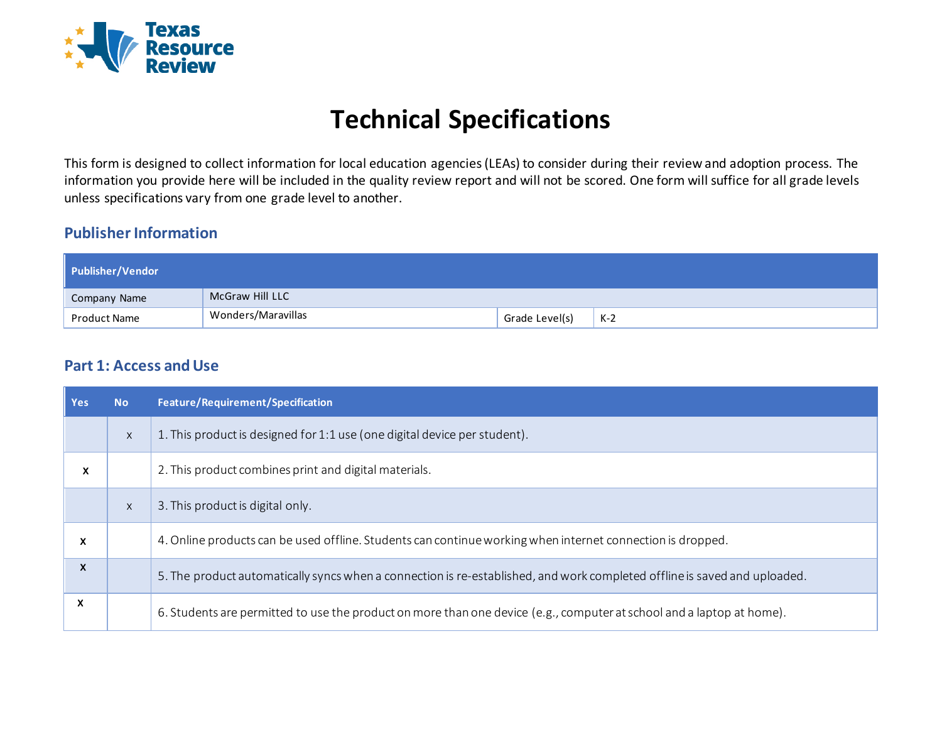

# **Technical Specifications**

This form is designed to collect information for local education agencies (LEAs) to consider during their review and adoption process. The information you provide here will be included in the quality review report and will not be scored. One form will suffice for all grade levels unless specifications vary from one grade level to another.

### **Publisher Information**

| Publisher/Vendor |                    |                |       |
|------------------|--------------------|----------------|-------|
| Company Name     | McGraw Hill LLC    |                |       |
| Product Name     | Wonders/Maravillas | Grade Level(s) | $K-2$ |

### **Part 1: Access and Use**

| <b>Yes</b> | <b>No</b>    | Feature/Requirement/Specification                                                                                         |
|------------|--------------|---------------------------------------------------------------------------------------------------------------------------|
|            | $\mathsf{X}$ | 1. This product is designed for 1:1 use (one digital device per student).                                                 |
| x          |              | 2. This product combines print and digital materials.                                                                     |
|            | $\mathsf{X}$ | 3. This product is digital only.                                                                                          |
| x          |              | 4. Online products can be used offline. Students can continue working when internet connection is dropped.                |
| X          |              | 5. The product automatically syncs when a connection is re-established, and work completed offline is saved and uploaded. |
| X          |              | 6. Students are permitted to use the product on more than one device (e.g., computer at school and a laptop at home).     |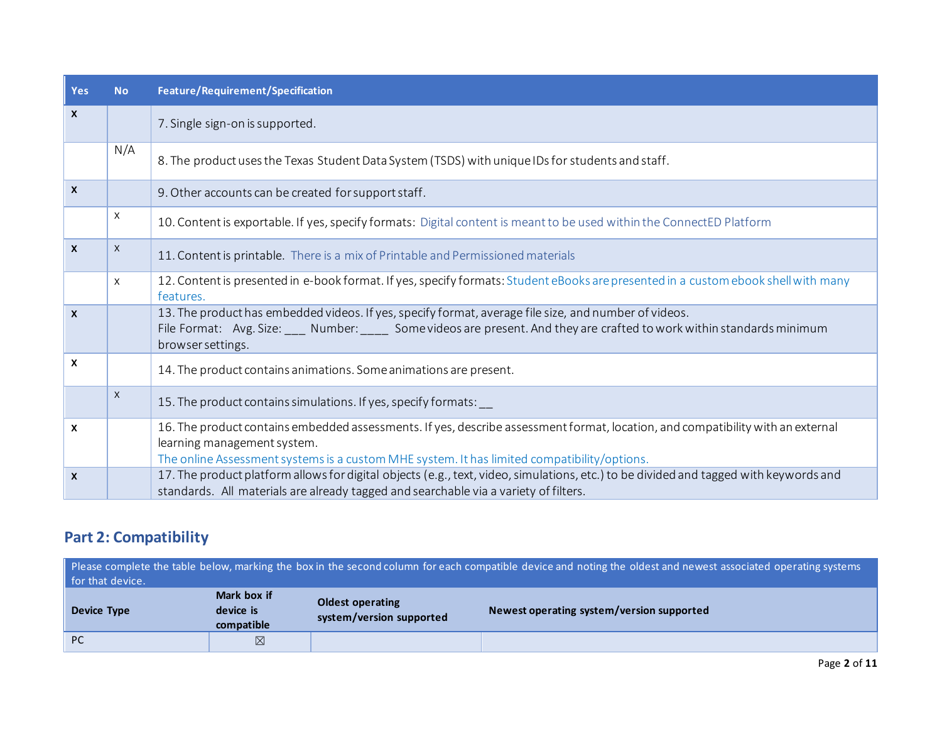| Yes                       | <b>No</b> | Feature/Requirement/Specification                                                                                                                                                                                                                     |
|---------------------------|-----------|-------------------------------------------------------------------------------------------------------------------------------------------------------------------------------------------------------------------------------------------------------|
| $\boldsymbol{\mathsf{x}}$ |           | 7. Single sign-on is supported.                                                                                                                                                                                                                       |
|                           | N/A       | 8. The product uses the Texas Student Data System (TSDS) with unique IDs for students and staff.                                                                                                                                                      |
| $\boldsymbol{\mathsf{X}}$ |           | 9. Other accounts can be created for support staff.                                                                                                                                                                                                   |
|                           | X         | 10. Content is exportable. If yes, specify formats: Digital content is meant to be used within the ConnectED Platform                                                                                                                                 |
| $\mathsf{x}$              | X         | 11. Content is printable. There is a mix of Printable and Permissioned materials                                                                                                                                                                      |
|                           | $\times$  | 12. Content is presented in e-book format. If yes, specify formats: Student eBooks are presented in a custom ebook shell with many<br>features.                                                                                                       |
| $\boldsymbol{\mathsf{X}}$ |           | 13. The product has embedded videos. If yes, specify format, average file size, and number of videos.<br>File Format: Avg. Size: ___ Number: ____ Some videos are present. And they are crafted to work within standards minimum<br>browser settings. |
| $\boldsymbol{\mathsf{x}}$ |           | 14. The product contains animations. Some animations are present.                                                                                                                                                                                     |
|                           | X         | 15. The product contains simulations. If yes, specify formats:                                                                                                                                                                                        |
| $\mathsf{x}$              |           | 16. The product contains embedded assessments. If yes, describe assessment format, location, and compatibility with an external<br>learning management system.                                                                                        |
|                           |           | The online Assessment systems is a custom MHE system. It has limited compatibility/options.                                                                                                                                                           |
| $\boldsymbol{\mathsf{x}}$ |           | 17. The product platform allows for digital objects (e.g., text, video, simulations, etc.) to be divided and tagged with keywords and<br>standards. All materials are already tagged and searchable via a variety of filters.                         |

## **Part 2: Compatibility**

| Please complete the table below, marking the box in the second column for each compatible device and noting the oldest and newest associated operating systems<br>for that device. |                                        |                                                     |                                           |  |  |  |
|------------------------------------------------------------------------------------------------------------------------------------------------------------------------------------|----------------------------------------|-----------------------------------------------------|-------------------------------------------|--|--|--|
| Device Type                                                                                                                                                                        | Mark box if<br>device is<br>compatible | <b>Oldest operating</b><br>system/version supported | Newest operating system/version supported |  |  |  |
| <b>PC</b>                                                                                                                                                                          | ⊠                                      |                                                     |                                           |  |  |  |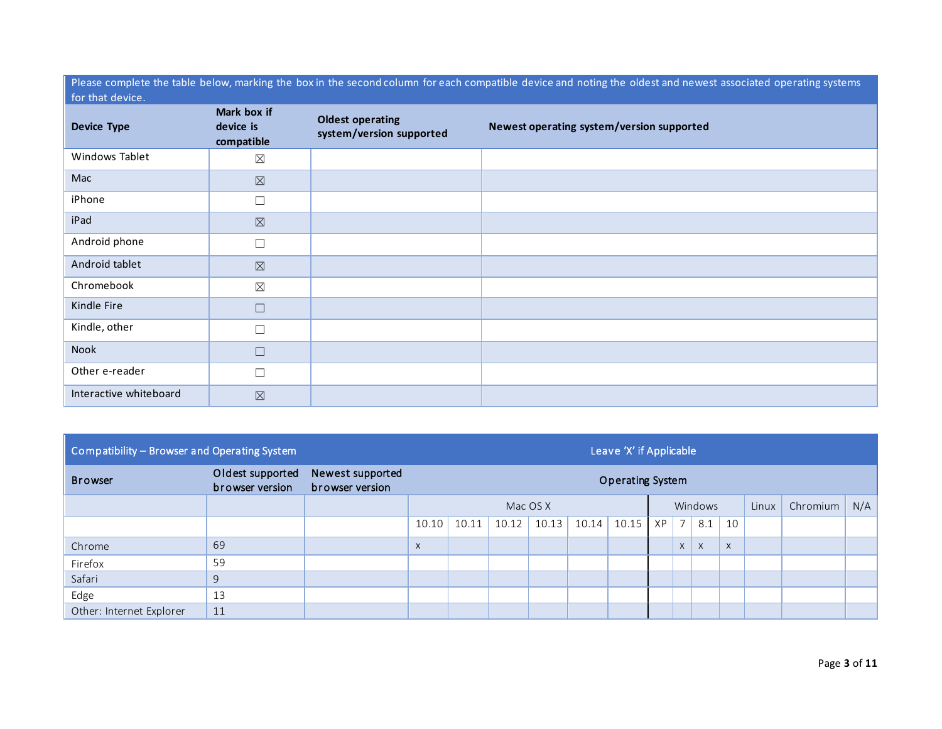Please complete the table below, marking the box in the second column for each compatible device and noting the oldest and newest associated operating systems  $\parallel$  for that device.

| <b>Device Type</b>     | Mark box if<br>device is<br>compatible | <b>Oldest operating</b><br>system/version supported | Newest operating system/version supported |
|------------------------|----------------------------------------|-----------------------------------------------------|-------------------------------------------|
| Windows Tablet         | $\boxtimes$                            |                                                     |                                           |
| Mac                    | $\boxtimes$                            |                                                     |                                           |
| iPhone                 | $\Box$                                 |                                                     |                                           |
| iPad                   | $\boxtimes$                            |                                                     |                                           |
| Android phone          | $\Box$                                 |                                                     |                                           |
| Android tablet         | $\boxtimes$                            |                                                     |                                           |
| Chromebook             | $\boxtimes$                            |                                                     |                                           |
| Kindle Fire            | $\Box$                                 |                                                     |                                           |
| Kindle, other          | $\Box$                                 |                                                     |                                           |
| Nook                   | $\Box$                                 |                                                     |                                           |
| Other e-reader         | $\Box$                                 |                                                     |                                           |
| Interactive whiteboard | $\boxtimes$                            |                                                     |                                           |

| Compatibility - Browser and Operating System |  |
|----------------------------------------------|--|
|----------------------------------------------|--|

| Compatibility - Browser and Operating System                                                 |    |  | Leave 'X' if Applicable |       |       |         |       |                         |    |                |              |              |  |  |  |
|----------------------------------------------------------------------------------------------|----|--|-------------------------|-------|-------|---------|-------|-------------------------|----|----------------|--------------|--------------|--|--|--|
| Oldest supported<br>Newest supported<br><b>Browser</b><br>browser version<br>browser version |    |  |                         |       |       |         |       | <b>Operating System</b> |    |                |              |              |  |  |  |
|                                                                                              |    |  | Mac OS X                |       |       | Windows |       |                         |    | Linux          | Chromium     | N/A          |  |  |  |
|                                                                                              |    |  | 10.10                   | 10.11 | 10.12 | 10.13   | 10.14 | 10.15                   | XP | $\overline{7}$ | 8.1          | 10           |  |  |  |
| Chrome                                                                                       | 69 |  | $\mathsf{X}$            |       |       |         |       |                         |    | $\times$       | $\mathsf{X}$ | $\mathsf{X}$ |  |  |  |
| Firefox                                                                                      | 59 |  |                         |       |       |         |       |                         |    |                |              |              |  |  |  |
| Safari                                                                                       | 9  |  |                         |       |       |         |       |                         |    |                |              |              |  |  |  |
| Edge                                                                                         | 13 |  |                         |       |       |         |       |                         |    |                |              |              |  |  |  |
| Other: Internet Explorer                                                                     | 11 |  |                         |       |       |         |       |                         |    |                |              |              |  |  |  |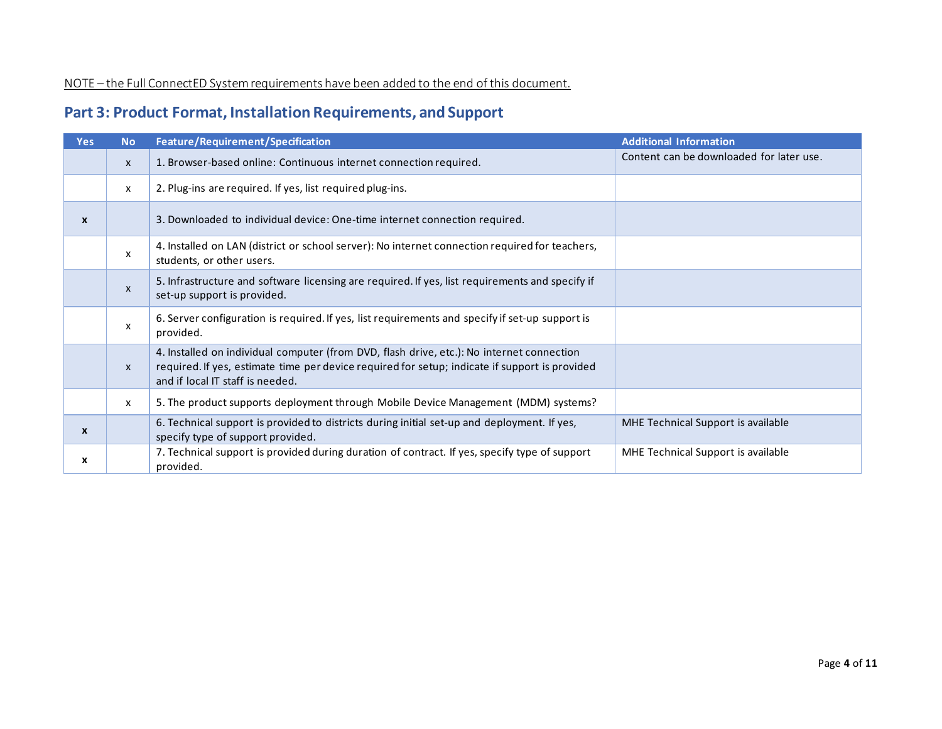NOTE – the Full ConnectED System requirements have been added to the end of this document.

### **Part 3: Product Format, Installation Requirements, and Support**

| <b>Yes</b> | <b>No</b>    | <b>Feature/Requirement/Specification</b>                                                                                                                                                                                        | <b>Additional Information</b>            |
|------------|--------------|---------------------------------------------------------------------------------------------------------------------------------------------------------------------------------------------------------------------------------|------------------------------------------|
|            | $\mathsf{x}$ | 1. Browser-based online: Continuous internet connection required.                                                                                                                                                               | Content can be downloaded for later use. |
|            | X            | 2. Plug-ins are required. If yes, list required plug-ins.                                                                                                                                                                       |                                          |
| X          |              | 3. Downloaded to individual device: One-time internet connection required.                                                                                                                                                      |                                          |
|            | X            | 4. Installed on LAN (district or school server): No internet connection required for teachers,<br>students, or other users.                                                                                                     |                                          |
|            | $\mathsf{x}$ | 5. Infrastructure and software licensing are required. If yes, list requirements and specify if<br>set-up support is provided.                                                                                                  |                                          |
|            | X            | 6. Server configuration is required. If yes, list requirements and specify if set-up support is<br>provided.                                                                                                                    |                                          |
|            | $\mathsf{x}$ | 4. Installed on individual computer (from DVD, flash drive, etc.): No internet connection<br>required. If yes, estimate time per device required for setup; indicate if support is provided<br>and if local IT staff is needed. |                                          |
|            | X            | 5. The product supports deployment through Mobile Device Management (MDM) systems?                                                                                                                                              |                                          |
| X          |              | 6. Technical support is provided to districts during initial set-up and deployment. If yes,<br>specify type of support provided.                                                                                                | MHE Technical Support is available       |
| x          |              | 7. Technical support is provided during duration of contract. If yes, specify type of support<br>provided.                                                                                                                      | MHE Technical Support is available       |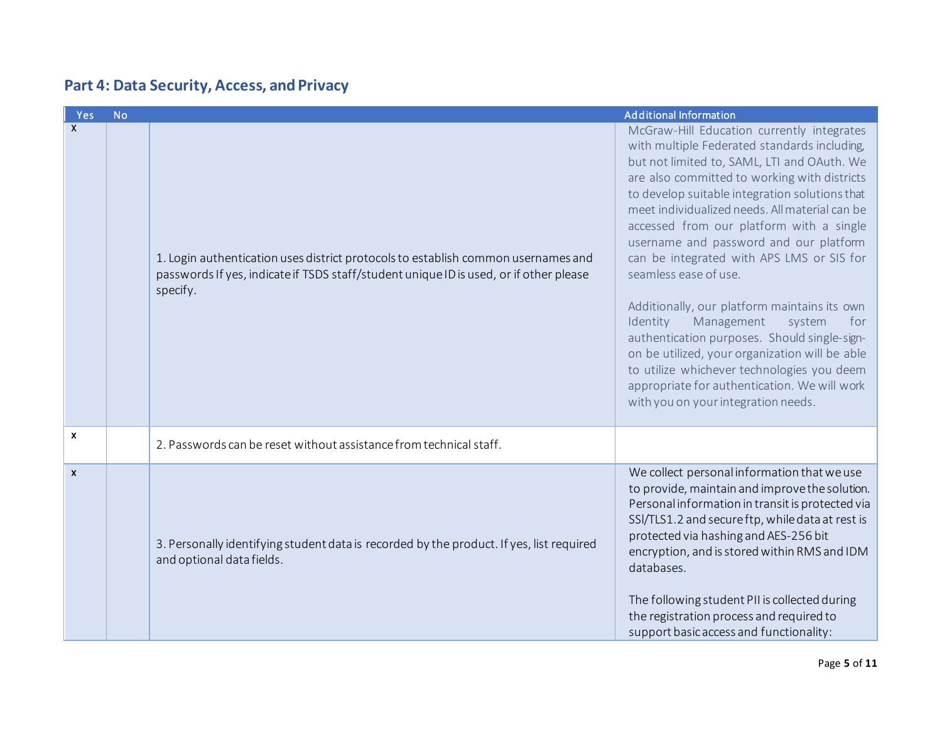## **Part 4: Data Security, Access, and Privacy**

| <b>Yes</b>                | <b>No</b> |                                                                                                                                                                                         | <b>Additional Information</b>                                                                                                                                                                                                                                                                                                                                                                                                                                                                                                                                                                                                                                                                                                                                                               |
|---------------------------|-----------|-----------------------------------------------------------------------------------------------------------------------------------------------------------------------------------------|---------------------------------------------------------------------------------------------------------------------------------------------------------------------------------------------------------------------------------------------------------------------------------------------------------------------------------------------------------------------------------------------------------------------------------------------------------------------------------------------------------------------------------------------------------------------------------------------------------------------------------------------------------------------------------------------------------------------------------------------------------------------------------------------|
| $\boldsymbol{\mathsf{X}}$ |           | 1. Login authentication uses district protocols to establish common usernames and<br>passwords If yes, indicate if TSDS staff/student unique ID is used, or if other please<br>specify. | McGraw-Hill Education currently integrates<br>with multiple Federated standards including,<br>but not limited to, SAML, LTI and OAuth. We<br>are also committed to working with districts<br>to develop suitable integration solutions that<br>meet individualized needs. All material can be<br>accessed from our platform with a single<br>username and password and our platform<br>can be integrated with APS LMS or SIS for<br>seamless ease of use.<br>Additionally, our platform maintains its own<br>Identity<br>Management<br>system<br>for<br>authentication purposes. Should single-sign-<br>on be utilized, your organization will be able<br>to utilize whichever technologies you deem<br>appropriate for authentication. We will work<br>with you on your integration needs. |
| $\boldsymbol{\mathsf{x}}$ |           | 2. Passwords can be reset without assistance from technical staff.                                                                                                                      |                                                                                                                                                                                                                                                                                                                                                                                                                                                                                                                                                                                                                                                                                                                                                                                             |
| $\boldsymbol{\mathsf{x}}$ |           | 3. Personally identifying student data is recorded by the product. If yes, list required<br>and optional data fields.                                                                   | We collect personal information that we use<br>to provide, maintain and improve the solution.<br>Personal information in transit is protected via<br>SSI/TLS1.2 and secure ftp, while data at rest is<br>protected via hashing and AES-256 bit<br>encryption, and is stored within RMS and IDM<br>databases.<br>The following student PII is collected during<br>the registration process and required to<br>support basic access and functionality:                                                                                                                                                                                                                                                                                                                                        |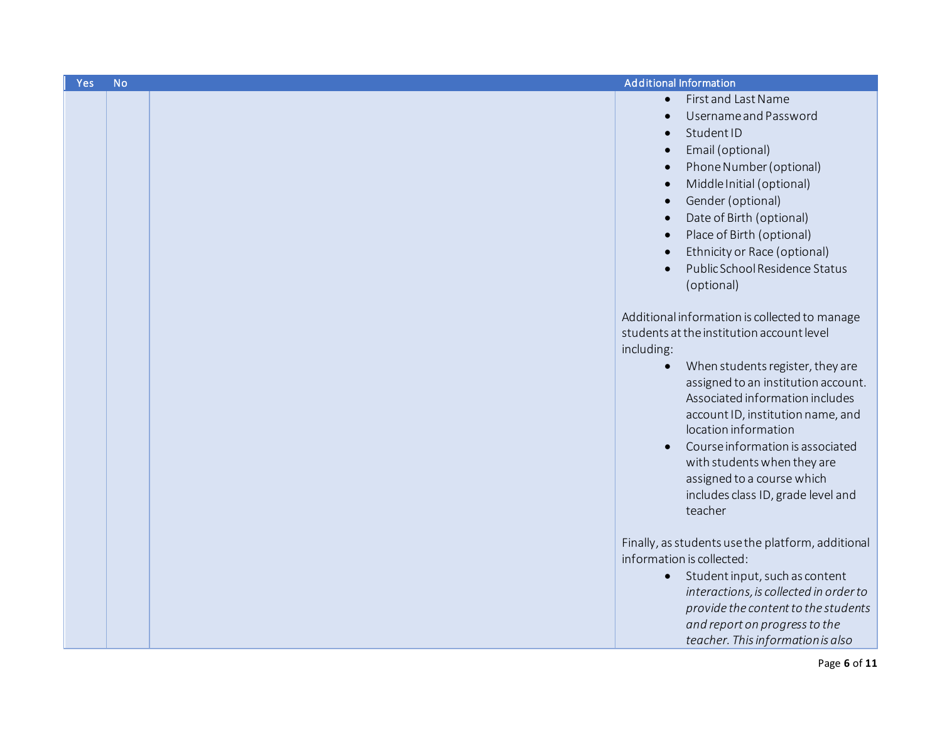| Yes | <b>No</b> | <b>Additional Information</b>                                                                                                                                                                                                                                                                                                                                                                                                                      |
|-----|-----------|----------------------------------------------------------------------------------------------------------------------------------------------------------------------------------------------------------------------------------------------------------------------------------------------------------------------------------------------------------------------------------------------------------------------------------------------------|
|     |           | First and Last Name<br>Username and Password<br>$\bullet$<br>StudentID<br>$\bullet$<br>Email (optional)<br>$\bullet$<br>Phone Number (optional)<br>$\bullet$<br>Middle Initial (optional)<br>Gender (optional)<br>Date of Birth (optional)<br>$\bullet$<br>Place of Birth (optional)<br>$\bullet$<br>Ethnicity or Race (optional)<br>Public School Residence Status<br>(optional)                                                                  |
|     |           | Additional information is collected to manage<br>students at the institution account level<br>including:<br>When students register, they are<br>$\bullet$<br>assigned to an institution account.<br>Associated information includes<br>account ID, institution name, and<br>location information<br>Course information is associated<br>with students when they are<br>assigned to a course which<br>includes class ID, grade level and<br>teacher |
|     |           | Finally, as students use the platform, additional<br>information is collected:<br>Student input, such as content<br>$\bullet$<br>interactions, is collected in order to<br>provide the content to the students<br>and report on progress to the<br>teacher. This information is also                                                                                                                                                               |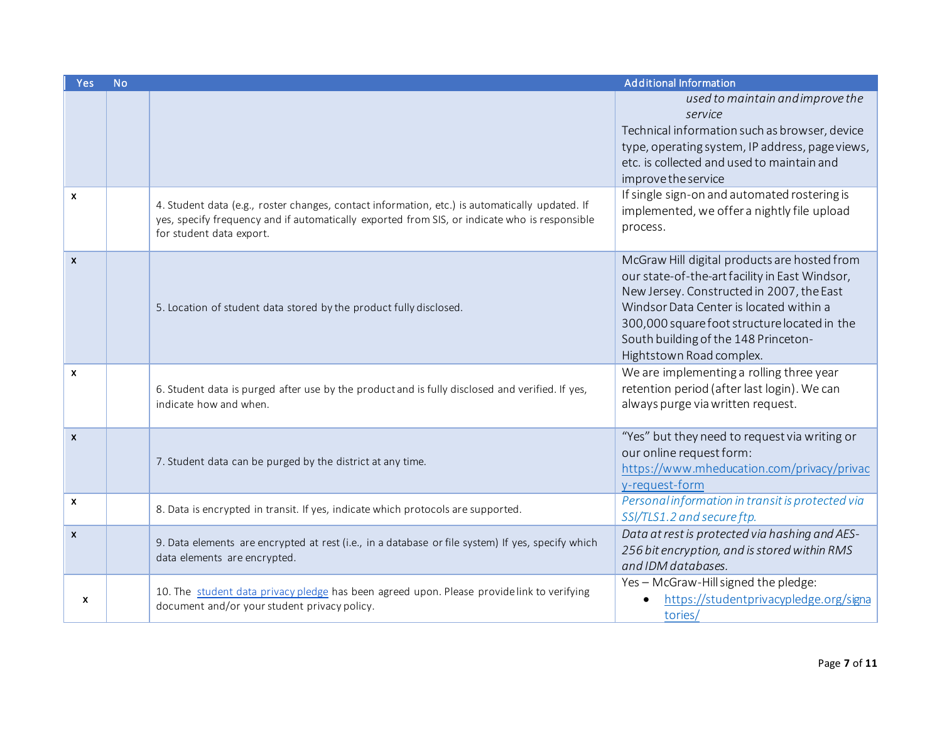| Yes                       | <b>No</b> |                                                                                                                                           | <b>Additional Information</b>                                                                                                                                                                                                                                                                              |
|---------------------------|-----------|-------------------------------------------------------------------------------------------------------------------------------------------|------------------------------------------------------------------------------------------------------------------------------------------------------------------------------------------------------------------------------------------------------------------------------------------------------------|
| $\boldsymbol{\mathsf{x}}$ |           | 4. Student data (e.g., roster changes, contact information, etc.) is automatically updated. If                                            | used to maintain and improve the<br>service<br>Technical information such as browser, device<br>type, operating system, IP address, page views,<br>etc. is collected and used to maintain and<br>improve the service<br>If single sign-on and automated rostering is                                       |
|                           |           | yes, specify frequency and if automatically exported from SIS, or indicate who is responsible<br>for student data export.                 | implemented, we offer a nightly file upload<br>process.                                                                                                                                                                                                                                                    |
| $\boldsymbol{\mathsf{x}}$ |           | 5. Location of student data stored by the product fully disclosed.                                                                        | McGraw Hill digital products are hosted from<br>our state-of-the-art facility in East Windsor,<br>New Jersey. Constructed in 2007, the East<br>Windsor Data Center is located within a<br>300,000 square foot structure located in the<br>South building of the 148 Princeton-<br>Hightstown Road complex. |
| $\boldsymbol{x}$          |           | 6. Student data is purged after use by the product and is fully disclosed and verified. If yes,<br>indicate how and when.                 | We are implementing a rolling three year<br>retention period (after last login). We can<br>always purge via written request.                                                                                                                                                                               |
| $\mathsf{x}$              |           | 7. Student data can be purged by the district at any time.                                                                                | "Yes" but they need to request via writing or<br>our online request form:<br>https://www.mheducation.com/privacy/privac<br>y-request-form                                                                                                                                                                  |
| $\boldsymbol{\mathsf{x}}$ |           | 8. Data is encrypted in transit. If yes, indicate which protocols are supported.                                                          | Personal information in transit is protected via<br>SSI/TLS1.2 and secure ftp.                                                                                                                                                                                                                             |
| $\boldsymbol{\mathsf{x}}$ |           | 9. Data elements are encrypted at rest (i.e., in a database or file system) If yes, specify which<br>data elements are encrypted.         | Data at rest is protected via hashing and AES-<br>256 bit encryption, and is stored within RMS<br>and IDM databases.                                                                                                                                                                                       |
| X                         |           | 10. The student data privacy pledge has been agreed upon. Please providelink to verifying<br>document and/or your student privacy policy. | Yes - McGraw-Hill signed the pledge:<br>https://studentprivacypledge.org/signa<br>$\bullet$<br>tories/                                                                                                                                                                                                     |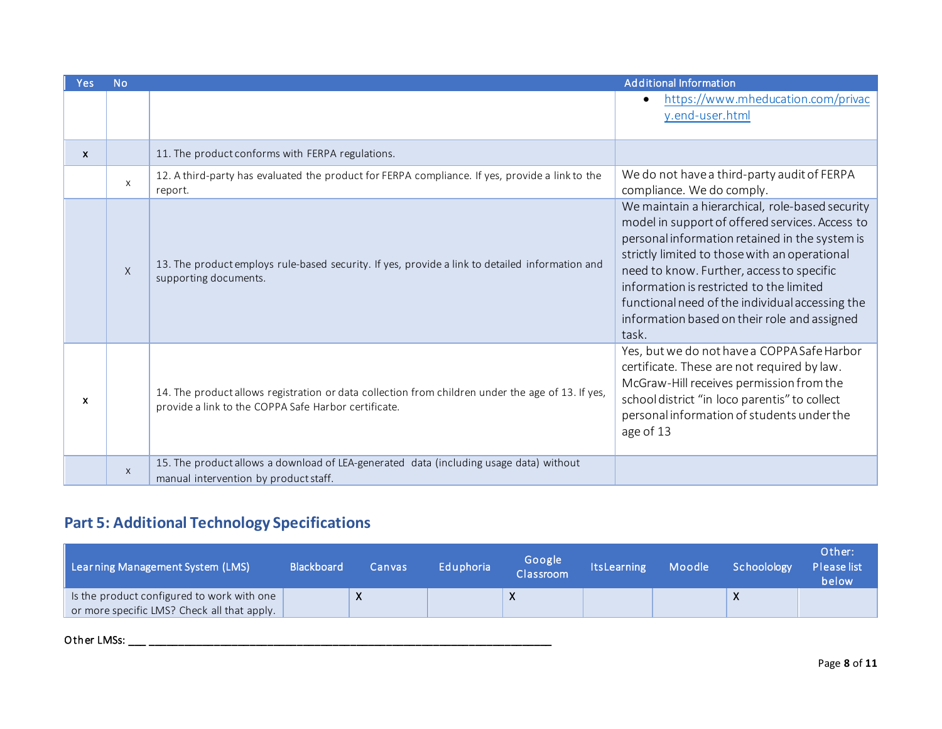| <b>Yes</b>   | <b>No</b>                 |                                                                                                                                                           | <b>Additional Information</b>                                                                                                                                                                                                                                                                                                                                                                              |
|--------------|---------------------------|-----------------------------------------------------------------------------------------------------------------------------------------------------------|------------------------------------------------------------------------------------------------------------------------------------------------------------------------------------------------------------------------------------------------------------------------------------------------------------------------------------------------------------------------------------------------------------|
|              |                           |                                                                                                                                                           | https://www.mheducation.com/privac<br>y.end-user.html                                                                                                                                                                                                                                                                                                                                                      |
| $\mathsf{x}$ |                           | 11. The product conforms with FERPA regulations.                                                                                                          |                                                                                                                                                                                                                                                                                                                                                                                                            |
|              | $\times$                  | 12. A third-party has evaluated the product for FERPA compliance. If yes, provide a link to the<br>report.                                                | We do not have a third-party audit of FERPA<br>compliance. We do comply.                                                                                                                                                                                                                                                                                                                                   |
|              | $\times$                  | 13. The product employs rule-based security. If yes, provide a link to detailed information and<br>supporting documents.                                  | We maintain a hierarchical, role-based security<br>model in support of offered services. Access to<br>personal information retained in the system is<br>strictly limited to those with an operational<br>need to know. Further, access to specific<br>information is restricted to the limited<br>functional need of the individual accessing the<br>information based on their role and assigned<br>task. |
| $\mathbf{x}$ |                           | 14. The product allows registration or data collection from children under the age of 13. If yes,<br>provide a link to the COPPA Safe Harbor certificate. | Yes, but we do not have a COPPA Safe Harbor<br>certificate. These are not required by law.<br>McGraw-Hill receives permission from the<br>school district "in loco parentis" to collect<br>personal information of students under the<br>age of 13                                                                                                                                                         |
|              | $\boldsymbol{\mathsf{X}}$ | 15. The product allows a download of LEA-generated data (including usage data) without<br>manual intervention by product staff.                           |                                                                                                                                                                                                                                                                                                                                                                                                            |

# **Part 5: Additional Technology Specifications**

| Learning Management System (LMS)                                                          | <b>Blackboard</b> | Canvas | Eduphoria | Google<br>Classroom | <b>ItsLearning</b> | Moodle | Schoolology | Other:<br>Please list<br>below |
|-------------------------------------------------------------------------------------------|-------------------|--------|-----------|---------------------|--------------------|--------|-------------|--------------------------------|
| Is the product configured to work with one<br>or more specific LMS? Check all that apply. |                   |        |           |                     |                    |        |             |                                |

O ther LMSs: \_\_\_ \_\_\_\_\_\_\_\_\_\_\_\_\_\_\_\_\_\_\_\_\_\_\_\_\_\_\_\_\_\_\_\_\_\_\_\_\_\_\_\_\_\_\_\_\_\_\_\_\_\_\_\_\_\_\_\_\_\_\_\_\_\_\_\_\_\_\_\_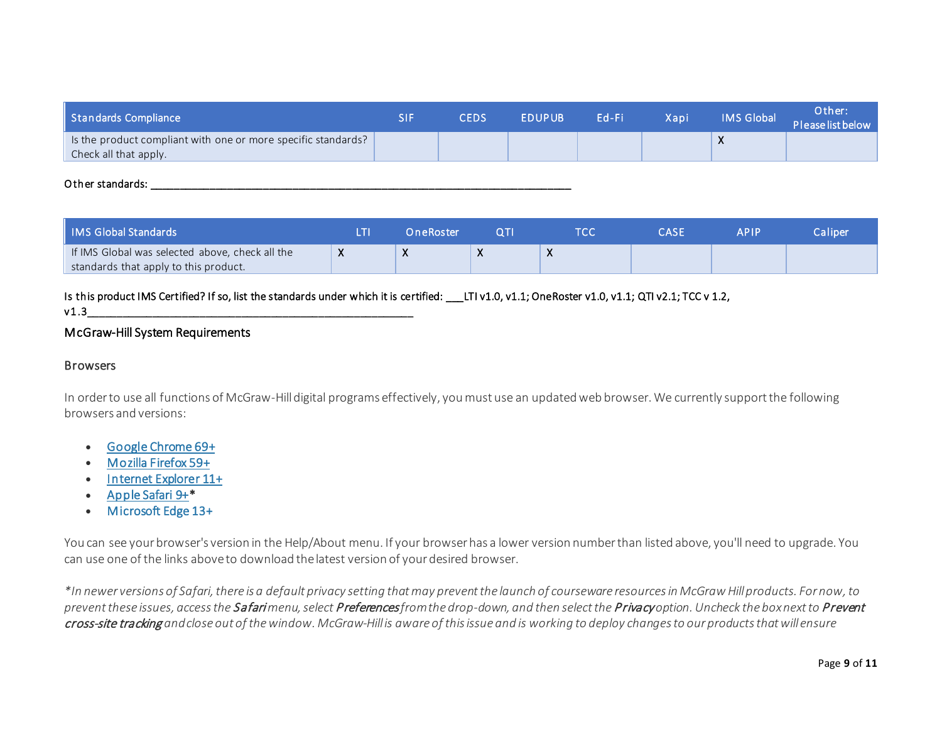| Standards Compliance                                                                   | <b>CEDS</b> | <b>EDUPUB</b> | Ed-Fi | Xapi | IMS Global | Other:<br>Please list below |
|----------------------------------------------------------------------------------------|-------------|---------------|-------|------|------------|-----------------------------|
| Is the product compliant with one or more specific standards?<br>Check all that apply. |             |               |       |      | $\lambda$  |                             |

#### O ther standards:  $\Box$

| ll IMS Global Standards                         | OneRoster |              | A D I D. | Caliper <sup>1</sup> |
|-------------------------------------------------|-----------|--------------|----------|----------------------|
| If IMS Global was selected above, check all the | $\lambda$ | $\mathbf{v}$ |          |                      |
| standards that apply to this product.           |           |              |          |                      |

Is this product IMS Certified? If so, list the standards under which it is certified: \_\_\_LTI v1.0, v1.1; OneRoster v1.0, v1.1; QTI v2.1; TCC v 1.2,  $v1.3$ 

#### McGraw-Hill System Requirements

#### **Browsers**

In order to use all functions of McGraw-Hill digital programs effectively, you must use an updated web browser. We currently support the following browsers and versions:

- [Google Chrome 69+](https://www.google.com/chrome/index.html)
- [Mozilla Firefox 59+](http://www.mozilla.org/en-US/firefox/new/)
- [Internet Explorer 11+](http://windows.microsoft.com/en-us/internet-explorer/products/ie/home)
- [Apple Safari 9+](http://www.apple.com/safari/)\*
- [Microsoft Edge 13+](https://www.microsoft.com/en-us/windows/microsoft-edge)

You can see your browser's version in the Help/About menu. If your browser has a lower version number than listed above, you'll need to upgrade. You can use one of the links aboveto download the latest version of your desired browser.

*\*In newer versions of Safari, there is a default privacy setting that may prevent the launch of courseware resources in McGrawHill products. For now, to prevent these issues, access the* Safari *menu, select* Preferences*from the drop-down, and then select the*Privacy *option. Uncheck the box next to* Prevent cross-site tracking *and close out of the window. McGraw-Hill is aware of this issue and is working to deploy changes to our products that will ensure*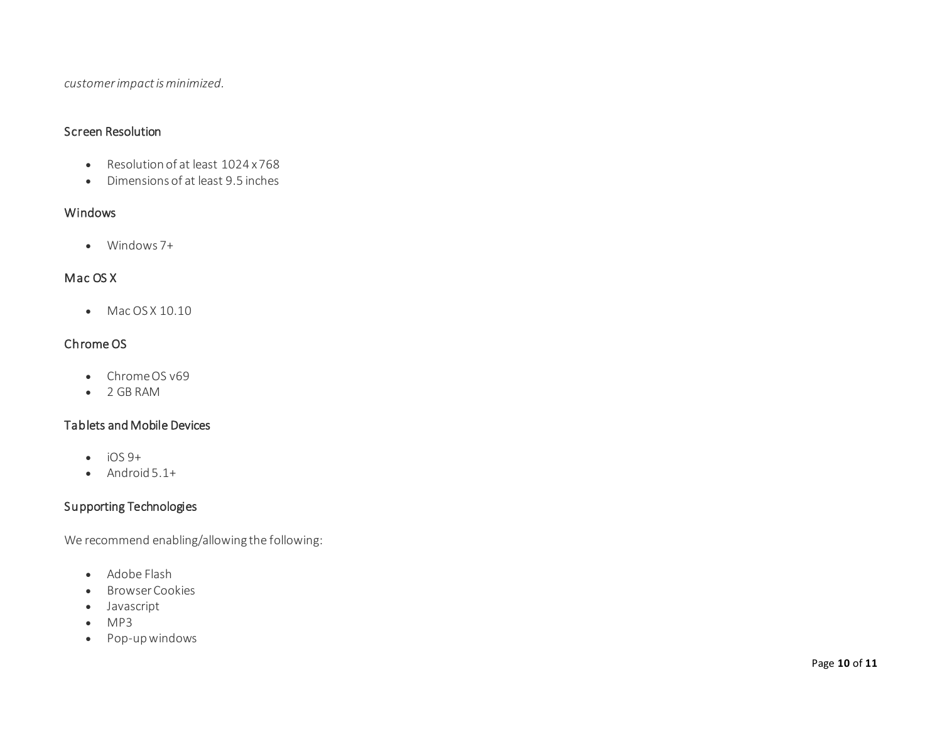*customer impact is minimized.*

#### Screen Resolution

- Resolution of at least 1024 x 768
- Dimensions of at least 9.5 inches

#### Windows

• Windows 7+

#### Mac OS X

• Mac OS X 10.10

#### Chrome OS

- Chrome OS v69
- 2 GB RAM

#### Tablets and Mobile Devices

- $\bullet$  iOS 9+
- Android 5.1+

#### Supporting Technologies

We recommend enabling/allowing the following:

- Adobe Flash
- Browser Cookies
- Javascript
- MP3
- Pop-up windows